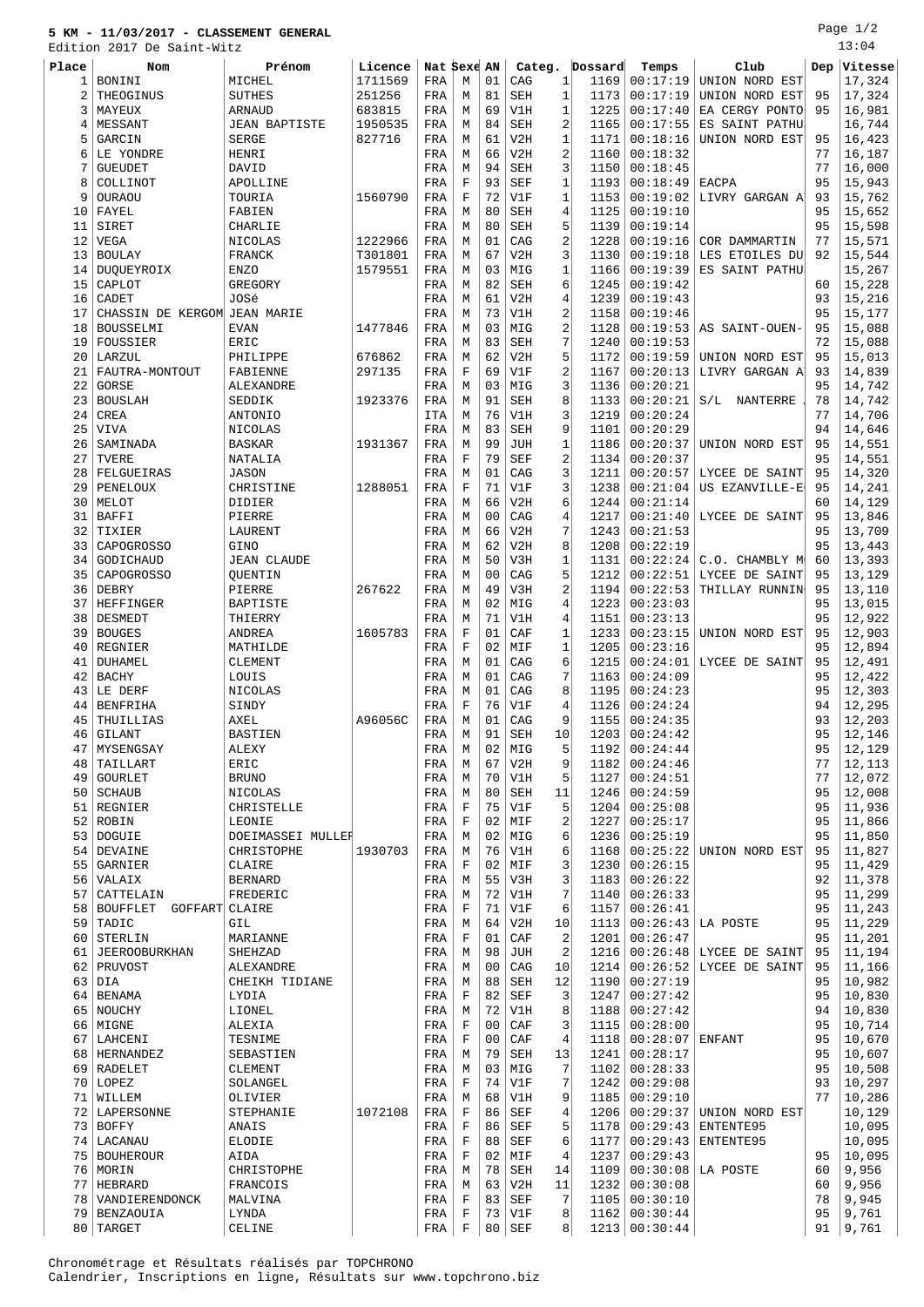## **5 KM - 11/03/2017 - CLASSEMENT GENERAL**

Page 1/2 13:04

|          | Edition 2017 De Saint-Witz   |                         |         |              |                  |                |            |                |              |                      |                           |          | 13:04   |
|----------|------------------------------|-------------------------|---------|--------------|------------------|----------------|------------|----------------|--------------|----------------------|---------------------------|----------|---------|
| Place    | Nom                          | Prénom                  | Licence | Nat Sexe AN  |                  |                | Categ.     |                | Dossard      | Temps                | Club                      | Dep      | Vitesse |
| 1        | BONINI                       | MICHEL                  | 1711569 | FRA          | M                | 01             | CAG        | $\mathbf{1}$   | 1169         | 00:17:19             | UNION NORD EST            |          | 17,324  |
| 2        | THEOGINUS                    | <b>SUTHES</b>           | 251256  | FRA          | М                | 81             | <b>SEH</b> | $\mathbf{1}$   | 1173         | 00:17:19             | UNION NORD EST            | 95       | 17,324  |
| 3        | MAYEUX                       | ARNAUD                  | 683815  | FRA          | М                | 69             | V1H        | 1              | 1225         | 00:17:40             | EA CERGY PONTO            | 95       | 16,981  |
| 4        | MESSANT                      | <b>JEAN BAPTISTE</b>    | 1950535 | FRA          | М                | 84             | <b>SEH</b> | 2              | 1165         | 00:17:55             | ES SAINT PATHU            |          | 16,744  |
| 5        | GARCIN                       | <b>SERGE</b>            | 827716  | FRA          | М                | 61             | V2H        | $\mathbf{1}$   | 1171         | 00:18:16             | UNION NORD EST            | 95       | 16,423  |
| 6        | LE YONDRE                    | HENRI                   |         | FRA          | M                | 66             | V2H        | 2              | 1160         | 00:18:32             |                           | 77       | 16,187  |
| 7        | <b>GUEUDET</b>               | DAVID                   |         | FRA          | M                | 94             | <b>SEH</b> | 3              | 1150         | 00:18:45             |                           | 77       | 16,000  |
|          |                              |                         |         |              | $\mathbf F$      | 93             |            |                |              |                      |                           |          |         |
| 8        | COLLINOT                     | APOLLINE                |         | FRA          |                  |                | <b>SEF</b> | 1              | 1193         | 00:18:49             | <b>EACPA</b>              | 95       | 15,943  |
| 9        | OURAOU                       | TOURIA                  | 1560790 | FRA          | $\mathbf F$      | 72             | V1F        | 1              | 1153         | 00:19:02             | LIVRY GARGAN A            | 93       | 15,762  |
| 10       | FAYEL                        | FABIEN                  |         | FRA          | M                | 80             | <b>SEH</b> | 4              | 1125         | 00:19:10             |                           | 95       | 15,652  |
| 11       | SIRET                        | CHARLIE                 |         | FRA          | М                | 80             | <b>SEH</b> | 5              | 1139         | 00:19:14             |                           | 95       | 15,598  |
| 12       | <b>VEGA</b>                  | NICOLAS                 | 1222966 | FRA          | М                | 01             | CAG        | 2              | 1228         | 00:19:16             | COR DAMMARTIN             | 77       | 15,571  |
| 13       | <b>BOULAY</b>                | FRANCK                  | T301801 | FRA          | М                | 67             | V2H        | 3              | 1130         | 00:19:18             | LES ETOILES DU            | 92       | 15,544  |
| 14       | DUQUEYROIX                   | <b>ENZO</b>             | 1579551 | FRA          | M                | 03             | MIG        | $\mathbf{1}$   | 1166         | 00:19:39             | ES SAINT PATHU            |          | 15,267  |
| 15       | CAPLOT                       | GREGORY                 |         | FRA          | M                | 82             | <b>SEH</b> | 6              | 1245         | 00:19:42             |                           | 60       | 15,228  |
| 16       | CADET                        | JOSé                    |         | FRA          | М                | 61             | V2H        | 4              | 1239         | 00:19:43             |                           | 93       | 15,216  |
| 17       | CHASSIN DE KERGOM JEAN MARIE |                         |         | FRA          | М                | 73             | V1H        | 2              | 1158         | 00:19:46             |                           | 95       | 15,177  |
| 18       | BOUSSELMI                    | <b>EVAN</b>             | 1477846 | FRA          | М                | 03             | MIG        | 2              | 1128         | 00:19:53             | AS SAINT-OUEN-            | 95       | 15,088  |
| 19       | FOUSSIER                     | ERIC                    |         | FRA          | М                | 83             | <b>SEH</b> | 7              | 1240         | 00:19:53             |                           | 72       | 15,088  |
| 20       | LARZUL                       | PHILIPPE                | 676862  | FRA          | М                | 62             | V2H        | 5              | 1172         | 00:19:59             | UNION NORD EST            | 95       | 15,013  |
| 21       | FAUTRA-MONTOUT               | FABIENNE                | 297135  | FRA          | F                | 69             | V1F        | 2              | 1167         | 00:20:13             | LIVRY GARGAN A'           | 93       | 14,839  |
| 22       | GORSE                        | ALEXANDRE               |         | FRA          | M                | 03             | MIG        | 3              | 1136         | 00:20:21             |                           | 95       | 14,742  |
| 23       | <b>BOUSLAH</b>               | SEDDIK                  | 1923376 | FRA          | М                | 91             | <b>SEH</b> | 8              | 1133         | 00:20:21             | S/L NANTERRE              | 78       | 14,742  |
| 24       | CREA                         | ANTONIO                 |         | ITA          | М                | 76             | V1H        | 3              | 1219         | 00:20:24             |                           | 77       | 14,706  |
| 25       | <b>VIVA</b>                  | NICOLAS                 |         | FRA          | М                | 83             | <b>SEH</b> | 9              | 1101         | 00:20:29             |                           | 94       | 14,646  |
| 26       | SAMINADA                     | <b>BASKAR</b>           | 1931367 | FRA          | M                | 99             | <b>JUH</b> | 1              | 1186         | 00:20:37             | UNION NORD EST            | 95       | 14,551  |
| 27       | TVERE                        | NATALIA                 |         | FRA          | $\mathbf F$      | 79             | <b>SEF</b> | 2              | 1134         | 00:20:37             |                           | 95       | 14,551  |
| 28       | FELGUEIRAS                   | JASON                   |         | FRA          | M                | 01             | CAG        | 3              | 1211         | 00:20:57             | LYCEE DE SAINT            | 95       | 14,320  |
| 29       | PENELOUX                     | CHRISTINE               | 1288051 | FRA          | $\mathbf F$      | 71             | V1F        | 3              | 1238         | 00:21:04             | US EZANVILLE-E            | 95       | 14,241  |
| 30       | MELOT                        | DIDIER                  |         | FRA          | М                | 66             | V2H        | 6              | 1244         | 00:21:14             |                           | 60       | 14,129  |
| 31       | BAFFI                        | PIERRE                  |         | FRA          | M                | 0 <sub>0</sub> | CAG        | 4              | 1217         | 00:21:40             | LYCEE DE SAINT            | 95       | 13,846  |
| 32       | TIXIER                       | LAURENT                 |         | FRA          | М                | 66             | V2H        | 7              | 1243         | 00:21:53             |                           | 95       | 13,709  |
| 33       | CAPOGROSSO                   | GINO                    |         | FRA          | М                | 62             | V2H        | 8              | 1208         | 00:22:19             |                           | 95       | 13,443  |
| 34       | GODICHAUD                    | <b>JEAN CLAUDE</b>      |         | FRA          | М                | 50             | V3H        | 1              | 1131         | 00:22:24             | C.O. CHAMBLY M            | 60       | 13,393  |
| 35       | CAPOGROSSO                   | OUENTIN                 |         | FRA          | M                | 0 <sub>0</sub> | CAG        | 5              | 1212         | 00:22:51             | LYCEE DE SAINT            | 95       | 13,129  |
| 36       | DEBRY                        | PIERRE                  | 267622  | FRA          | М                | 49             | V3H        | 2              | 1194         | 00:22:53             | THILLAY RUNNIN            | 95       | 13,110  |
| 37       | HEFFINGER                    | <b>BAPTISTE</b>         |         | FRA          | М                | 02             | MIG        | 4              | 1223         | 00:23:03             |                           | 95       | 13,015  |
| 38       | DESMEDT                      | THIERRY                 |         | FRA          | М                | 71             | V1H        | 4              | 1151         | 00:23:13             |                           | 95       | 12,922  |
| 39       | <b>BOUGES</b>                | <b>ANDREA</b>           | 1605783 | FRA          | $\mathbf F$      | 01             | CAF        | $\mathbf{1}$   | 1233         | 00:23:15             | UNION NORD EST            | 95       | 12,903  |
| 40       | REGNIER                      | MATHILDE                |         | FRA          | $\mathbf F$      | 02             | MIF        | $\mathbf{1}$   | 1205         | 00:23:16             |                           | 95       | 12,894  |
| 41       | DUHAMEL                      | <b>CLEMENT</b>          |         | FRA          | М                | 01             | CAG        | 6              | 1215         | 00:24:01             | LYCEE DE SAINT            | 95       | 12,491  |
| 42       | <b>BACHY</b>                 | LOUIS                   |         | FRA          | М                | 01             | CAG        | 7              | 1163         | 00:24:09             |                           | 95       | 12,422  |
| 43       | LE DERF                      | NICOLAS                 |         | FRA          | М                | 01             | CAG        | 8              | 1195         | 00:24:23             |                           | 95       | 12,303  |
| 44       | <b>BENFRIHA</b>              | SINDY                   |         | FRA          | $\mathbf F$      | 76             | V1F        | 4              | 1126         | 00:24:24             |                           | 94       | 12,295  |
| 45       | THUILLIAS                    | <b>AXEL</b>             | A96056C | FRA          | M                | 01             | CAG        | 9              | 1155         | 00:24:35             |                           | 93       | 12,203  |
| 46       | GILANT                       | <b>BASTIEN</b>          |         | FRA          | М                | 91             | SEH        | 10             | 1203         | 00:24:42             |                           | 95       | 12,146  |
| 47       | MYSENGSAY                    | ALEXY                   |         | FRA          | М                | 02             | MIG        | 5              | 1192         | 00:24:44             |                           | 95       | 12,129  |
| 48       | TAILLART                     | ERIC                    |         | FRA          | М                | 67             | V2H        | 9              | 1182         | 00:24:46             |                           | 77       | 12,113  |
|          | <b>GOURLET</b>               |                         |         |              | М                | 70             | V1H        | 5              | 1127         | 00:24:51             |                           | 77       | 12,072  |
| 49<br>50 | SCHAUB                       | <b>BRUNO</b><br>NICOLAS |         | FRA<br>FRA   | М                | 80             | SEH        |                | 1246         | 00:24:59             |                           | 95       | 12,008  |
| 51       | REGNIER                      | CHRISTELLE              |         | FRA          | F                | 75             | V1F        | 11<br>5        | 1204         | 00:25:08             |                           | 95       | 11,936  |
| 52       | ROBIN                        | LEONIE                  |         | $_{\rm FRA}$ | $\mathbf F$      | 02             |            | 2              | 1227         | 00:25:17             |                           | 95       | 11,866  |
|          |                              |                         |         |              |                  |                | MIF        |                |              |                      |                           | 95       |         |
|          | 53 DOGUIE                    | DOEIMASSEI MULLEH       |         | FRA          | М                | 02             | MIG        | 6              | 1236         | 00:25:19<br>00:25:22 |                           |          | 11,850  |
|          | 54 DEVAINE                   | CHRISTOPHE              | 1930703 | FRA          | М<br>$\mathbf F$ | 76<br>02       | V1H        | 6<br>3         | 1168         |                      | UNION NORD EST            | 95       | 11,827  |
| 55       | GARNIER<br>56   VALAIX       | CLAIRE                  |         | FRA          |                  | 55             | MIF        |                | 1230<br>1183 | 00:26:15             |                           | 95<br>92 | 11,429  |
|          |                              | <b>BERNARD</b>          |         | FRA          | М                |                | V3H        | 3<br>7         |              | 00:26:22             |                           |          | 11,378  |
| 57       | CATTELAIN                    | FREDERIC                |         | FRA          | М                | 72             | V1H        |                | 1140         | 00:26:33             |                           | 95       | 11,299  |
| 58       | BOUFFLET GOFFART CLAIRE      |                         |         | FRA          | $\mathbf F$      | 71             | V1F        | 6              | 1157         | 00:26:41             |                           | 95       | 11,243  |
| 59       | TADIC                        | GIL                     |         | FRA          | М                | 64             | V2H        | 10             | 1113         | 00:26:43             | LA POSTE                  | 95       | 11,229  |
| 60       | STERLIN                      | MARIANNE                |         | FRA          | $\mathbf F$      | 01             | CAF        | 2              | 1201         | 00:26:47             |                           | 95       | 11,201  |
|          | 61 JEEROOBURKHAN             | SHEHZAD                 |         | FRA          | М                | 98             | JUH        | 2              | 1216         |                      | $00:26:48$ LYCEE DE SAINT | 95       | 11,194  |
|          | 62 PRUVOST                   | ALEXANDRE               |         | FRA          | М                | 00             | CAG        | 10             | 1214         | 00:26:52             | LYCEE DE SAINT            | 95       | 11,166  |
|          | $63$ DIA                     | CHEIKH TIDIANE          |         | FRA          | М                | 88             | SEH        | 12             | 1190         | 00:27:19             |                           | 95       | 10,982  |
| 64       | BENAMA                       | LYDIA                   |         | FRA          | F                | 82             | SEF        | 3              | 1247         | 00:27:42             |                           | 95       | 10,830  |
|          | 65 NOUCHY                    | LIONEL                  |         | FRA          | М                | 72             | V1H        | 8              | 1188         | 00:27:42             |                           | 94       | 10,830  |
|          | 66 MIGNE                     | ALEXIA                  |         | FRA          | F                | 0 <sub>0</sub> | CAF        | 3              | 1115         | 00:28:00             |                           | 95       | 10,714  |
| 67       | LAHCENI                      | TESNIME                 |         | FRA          | $\mathbf F$      | 0 <sub>0</sub> | CAF        | 4              | 1118         | 00:28:07             | ENFANT                    | 95       | 10,670  |
|          | 68   HERNANDEZ               | SEBASTIEN               |         | FRA          | М                | 79             | SEH        | 13             | 1241         | 00:28:17             |                           | 95       | 10,607  |
|          | 69 RADELET                   | CLEMENT                 |         | FRA          | М                | 03             | MIG        | 7              | 1102         | 00:28:33             |                           | 95       | 10,508  |
|          | 70 LOPEZ                     | SOLANGEL                |         | FRA          | F                | 74             | V1F        | 7              | 1242         | 00:29:08             |                           | 93       | 10,297  |
| 71       | WILLEM                       | OLIVIER                 |         | FRA          | М                | 68             | V1H        | 9              | 1185         | 00:29:10             |                           | 77       | 10,286  |
|          | 72 LAPERSONNE                | STEPHANIE               | 1072108 | FRA          | $\mathbf F$      | 86             | SEF        | 4              | 1206         | 00:29:37             | UNION NORD EST            |          | 10,129  |
| 73       | <b>BOFFY</b>                 | ANAIS                   |         | FRA          | $\mathbf F$      | 86             | <b>SEF</b> | 5              | 1178         | 00:29:43             | ENTENTE95                 |          | 10,095  |
|          | 74   LACANAU                 | ELODIE                  |         | FRA          | $\mathbf F$      | 88             | SEF        | 6              | 1177         | 00:29:43             | ENTENTE95                 |          | 10,095  |
|          | 75   BOUHEROUR               | AIDA                    |         | FRA          | F                | 02             | MIF        | 4              | 1237         | 00:29:43             |                           | 95       | 10,095  |
|          | 76 MORIN                     | CHRISTOPHE              |         | FRA          | М                | 78             | SEH        | 14             | 1109         | 00:30:08             | LA POSTE                  | 60       | 9,956   |
|          | 77 HEBRARD                   | FRANCOIS                |         | FRA          | М                | 63             | V2H        | 11             | 1232         | 00:30:08             |                           | 60       | 9,956   |
|          | 78   VANDIERENDONCK          | MALVINA                 |         | FRA          | $\mathbf F$      | 83             | SEF        | 7              | 1105         | 00:30:10             |                           | 78       | 9,945   |
|          | 79 BENZAOUIA                 | LYNDA                   |         | FRA          | $\mathbf F$      | 73             | V1F        | 8              |              | 1162   00:30:44      |                           | 95       | 9,761   |
|          | 80 TARGET                    | CELINE                  |         | FRA          | $\mathbf F$      |                | $80$ SEF   | 8 <sup>1</sup> |              | 1213   00:30:44      |                           | 91       | 9,761   |

Chronométrage et Résultats réalisés par TOPCHRONO Calendrier, Inscriptions en ligne, Résultats sur www.topchrono.biz